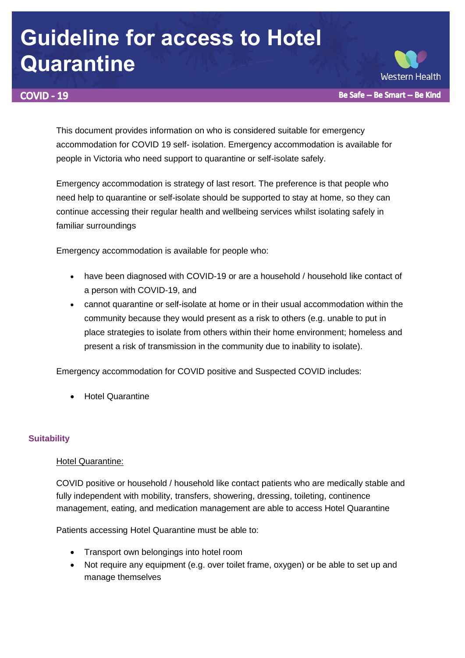# **Guideline for access to Hotel Quarantine**

# **COVID - 19**

**Western Health** Be Safe -- Be Smart -- Be Kind

This document provides information on who is considered suitable for emergency accommodation for COVID 19 self- isolation. Emergency accommodation is available for people in Victoria who need support to quarantine or self-isolate safely.

Emergency accommodation is strategy of last resort. The preference is that people who need help to quarantine or self-isolate should be supported to stay at home, so they can continue accessing their regular health and wellbeing services whilst isolating safely in familiar surroundings

Emergency accommodation is available for people who:

- have been diagnosed with COVID-19 or are a household / household like contact of a person with COVID-19, and
- cannot quarantine or self-isolate at home or in their usual accommodation within the community because they would present as a risk to others (e.g. unable to put in place strategies to isolate from others within their home environment; homeless and present a risk of transmission in the community due to inability to isolate).

Emergency accommodation for COVID positive and Suspected COVID includes:

Hotel Quarantine

# **Suitability**

# Hotel Quarantine:

COVID positive or household / household like contact patients who are medically stable and fully independent with mobility, transfers, showering, dressing, toileting, continence management, eating, and medication management are able to access Hotel Quarantine

Patients accessing Hotel Quarantine must be able to:

- Transport own belongings into hotel room
- Not require any equipment (e.g. over toilet frame, oxygen) or be able to set up and manage themselves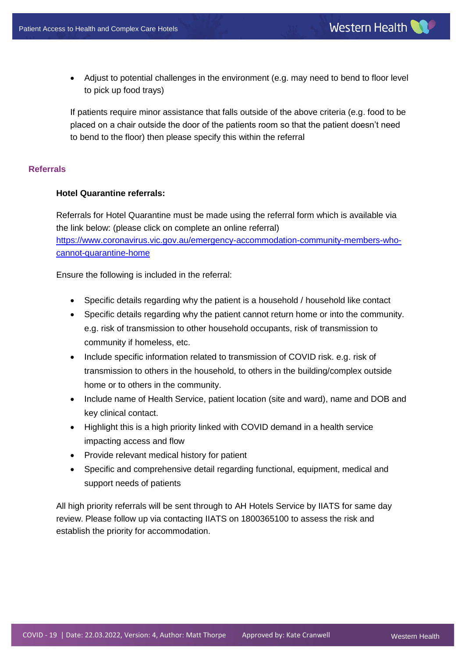Adjust to potential challenges in the environment (e.g. may need to bend to floor level to pick up food trays)

If patients require minor assistance that falls outside of the above criteria (e.g. food to be placed on a chair outside the door of the patients room so that the patient doesn't need to bend to the floor) then please specify this within the referral

## **Referrals**

## **Hotel Quarantine referrals:**

Referrals for Hotel Quarantine must be made using the referral form which is available via the link below: (please click on complete an online referral) [https://www.coronavirus.vic.gov.au/emergency-accommodation-community-members-who](https://urldefense.com/v3/__https:/www.coronavirus.vic.gov.au/emergency-accommodation-community-members-who-cannot-quarantine-home__;!!NDYExDT0u85SdT4!8n_BgUPNPGIPMe9-qGmkqCw7ApmUbzjVgo2Gi6F8K6ZSIxPhJI9XK4gXzXYBrUFrZQ$)[cannot-quarantine-home](https://urldefense.com/v3/__https:/www.coronavirus.vic.gov.au/emergency-accommodation-community-members-who-cannot-quarantine-home__;!!NDYExDT0u85SdT4!8n_BgUPNPGIPMe9-qGmkqCw7ApmUbzjVgo2Gi6F8K6ZSIxPhJI9XK4gXzXYBrUFrZQ$)

Ensure the following is included in the referral:

- Specific details regarding why the patient is a household / household like contact
- Specific details regarding why the patient cannot return home or into the community. e.g. risk of transmission to other household occupants, risk of transmission to community if homeless, etc.
- Include specific information related to transmission of COVID risk. e.g. risk of transmission to others in the household, to others in the building/complex outside home or to others in the community.
- Include name of Health Service, patient location (site and ward), name and DOB and key clinical contact.
- Highlight this is a high priority linked with COVID demand in a health service impacting access and flow
- Provide relevant medical history for patient
- Specific and comprehensive detail regarding functional, equipment, medical and support needs of patients

All high priority referrals will be sent through to AH Hotels Service by IIATS for same day review. Please follow up via contacting IIATS on 1800365100 to assess the risk and establish the priority for accommodation.